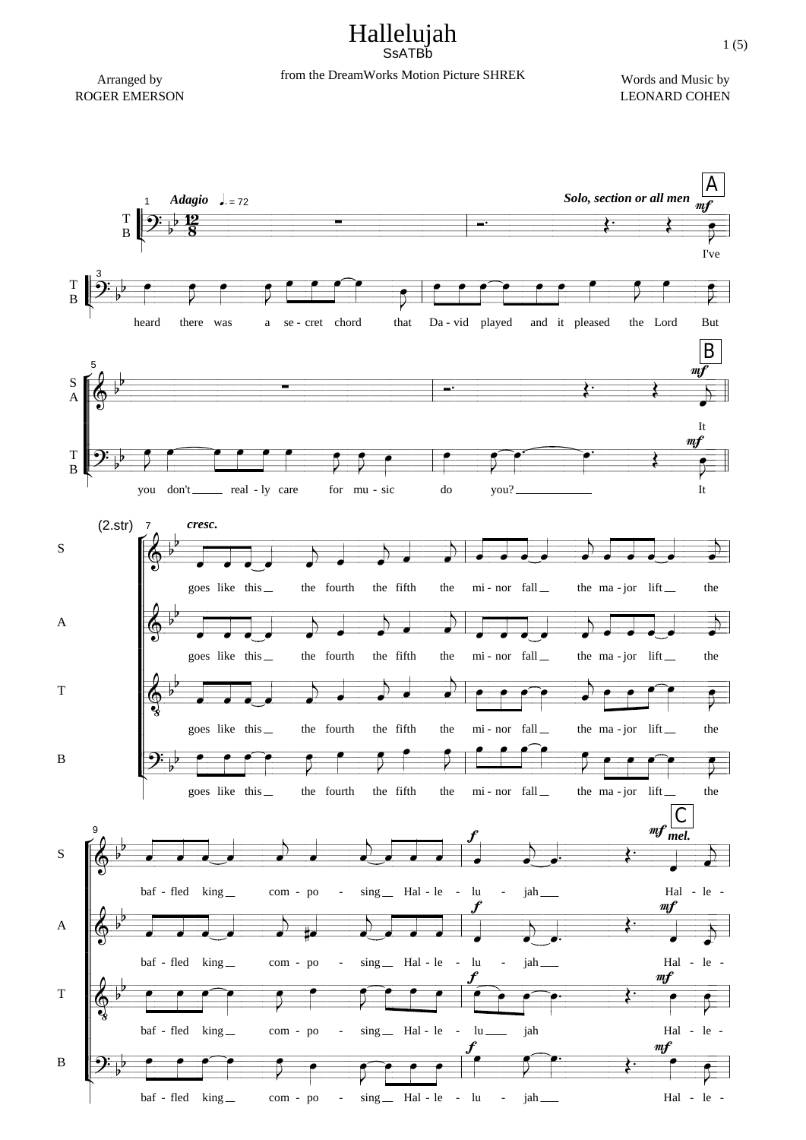Hallelujah SsATBĎ

Arranged by **ROGER EMERSON**  from the DreamWorks Motion Picture SHREK

Words and Music by **LEONARD COHEN** 

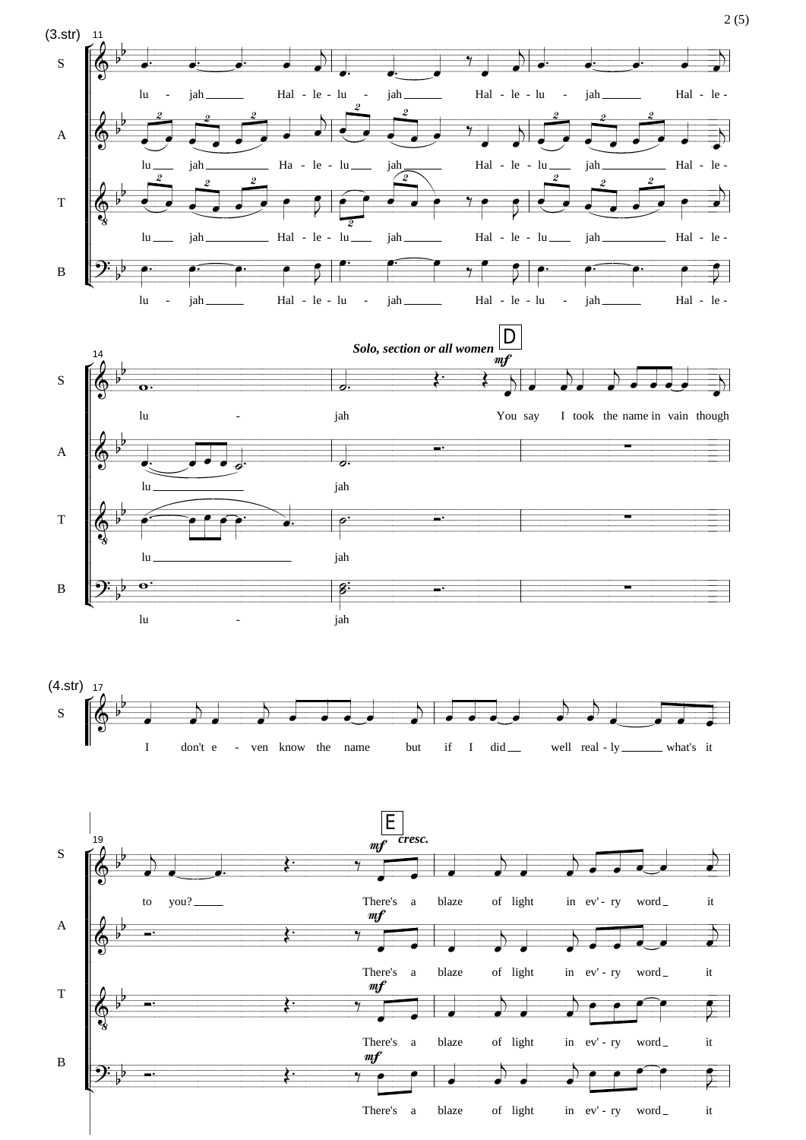

l

2 (5)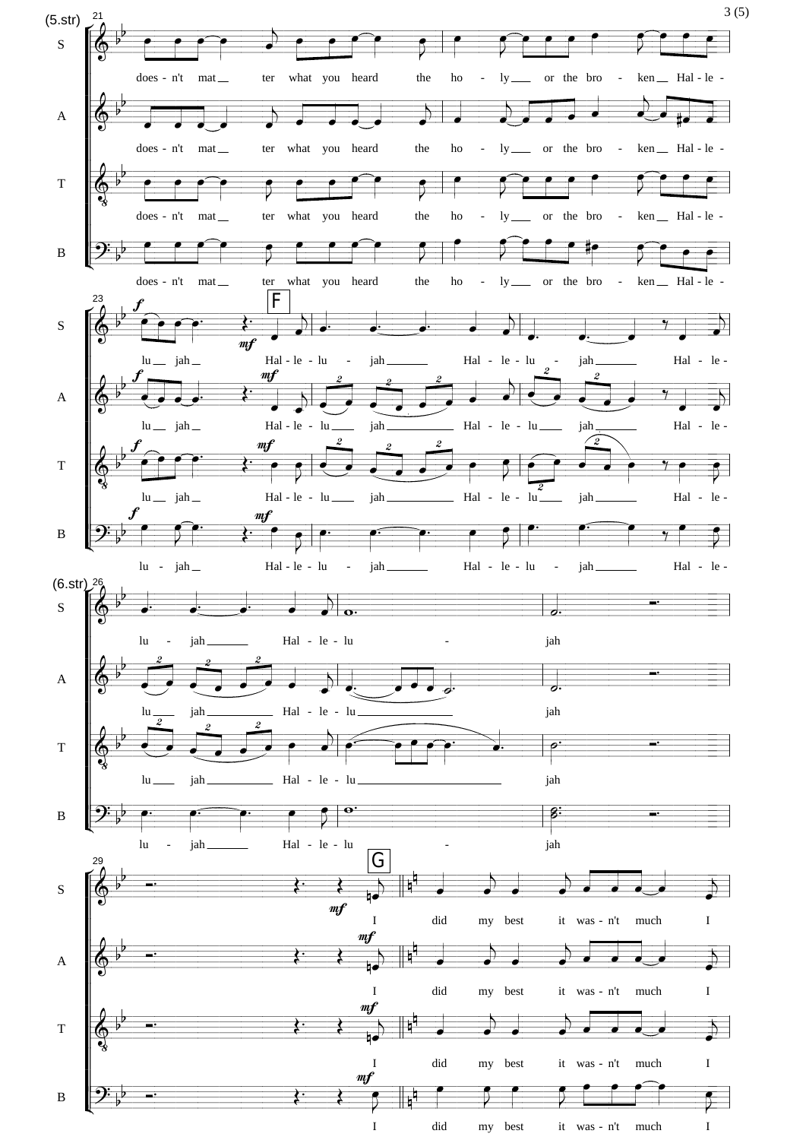

3 (5)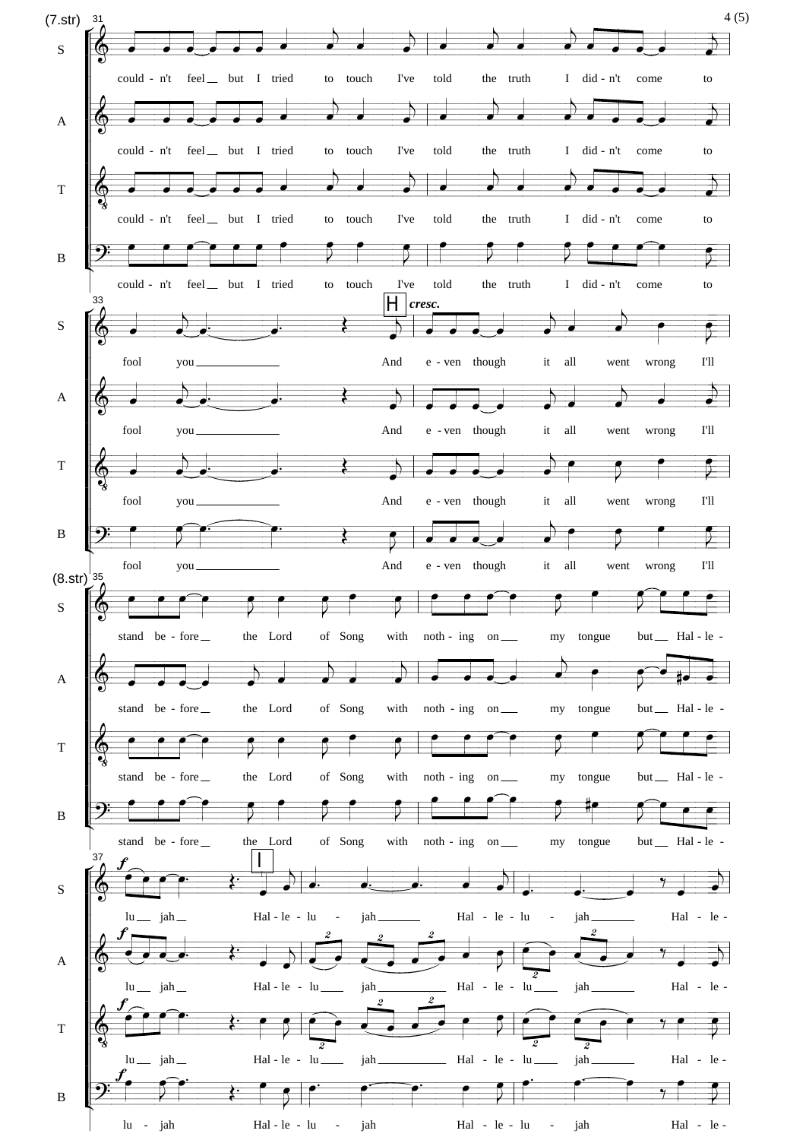